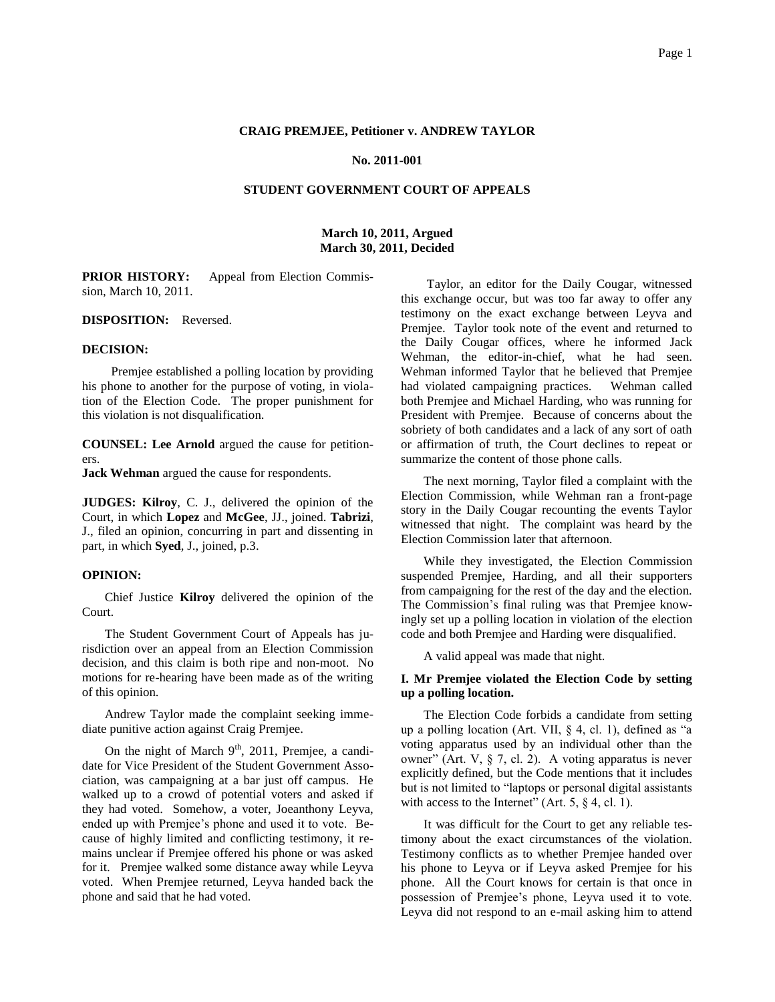#### **CRAIG PREMJEE, Petitioner v. ANDREW TAYLOR**

#### **No. 2011-001**

### **STUDENT GOVERNMENT COURT OF APPEALS**

### **March 10, 2011, Argued March 30, 2011, Decided**

**PRIOR HISTORY:** Appeal from Election Commission, March 10, 2011.

**DISPOSITION:** Reversed.

#### **DECISION:**

Premjee established a polling location by providing his phone to another for the purpose of voting, in violation of the Election Code. The proper punishment for this violation is not disqualification.

**COUNSEL: Lee Arnold** argued the cause for petitioners.

**Jack Wehman** argued the cause for respondents.

**JUDGES: Kilroy**, C. J., delivered the opinion of the Court, in which **Lopez** and **McGee**, JJ., joined. **Tabrizi**, J., filed an opinion, concurring in part and dissenting in part, in which **Syed**, J., joined, p.3.

### **OPINION:**

Chief Justice **Kilroy** delivered the opinion of the Court.

The Student Government Court of Appeals has jurisdiction over an appeal from an Election Commission decision, and this claim is both ripe and non-moot. No motions for re-hearing have been made as of the writing of this opinion.

Andrew Taylor made the complaint seeking immediate punitive action against Craig Premjee.

On the night of March  $9<sup>th</sup>$ , 2011, Premjee, a candidate for Vice President of the Student Government Association, was campaigning at a bar just off campus. He walked up to a crowd of potential voters and asked if they had voted. Somehow, a voter, Joeanthony Leyva, ended up with Premjee's phone and used it to vote. Because of highly limited and conflicting testimony, it remains unclear if Premjee offered his phone or was asked for it. Premjee walked some distance away while Leyva voted. When Premjee returned, Leyva handed back the phone and said that he had voted.

Taylor, an editor for the Daily Cougar, witnessed this exchange occur, but was too far away to offer any testimony on the exact exchange between Leyva and Premjee. Taylor took note of the event and returned to the Daily Cougar offices, where he informed Jack Wehman, the editor-in-chief, what he had seen. Wehman informed Taylor that he believed that Premjee had violated campaigning practices. Wehman called both Premjee and Michael Harding, who was running for President with Premjee. Because of concerns about the sobriety of both candidates and a lack of any sort of oath or affirmation of truth, the Court declines to repeat or summarize the content of those phone calls.

The next morning, Taylor filed a complaint with the Election Commission, while Wehman ran a front-page story in the Daily Cougar recounting the events Taylor witnessed that night. The complaint was heard by the Election Commission later that afternoon.

While they investigated, the Election Commission suspended Premjee, Harding, and all their supporters from campaigning for the rest of the day and the election. The Commission's final ruling was that Premjee knowingly set up a polling location in violation of the election code and both Premjee and Harding were disqualified.

A valid appeal was made that night.

## **I. Mr Premjee violated the Election Code by setting up a polling location.**

The Election Code forbids a candidate from setting up a polling location (Art. VII, § 4, cl. 1), defined as "a voting apparatus used by an individual other than the owner" (Art. V, § 7, cl. 2). A voting apparatus is never explicitly defined, but the Code mentions that it includes but is not limited to "laptops or personal digital assistants with access to the Internet" (Art.  $5, § 4, cl. 1$ ).

It was difficult for the Court to get any reliable testimony about the exact circumstances of the violation. Testimony conflicts as to whether Premjee handed over his phone to Leyva or if Leyva asked Premjee for his phone. All the Court knows for certain is that once in possession of Premjee's phone, Leyva used it to vote. Leyva did not respond to an e-mail asking him to attend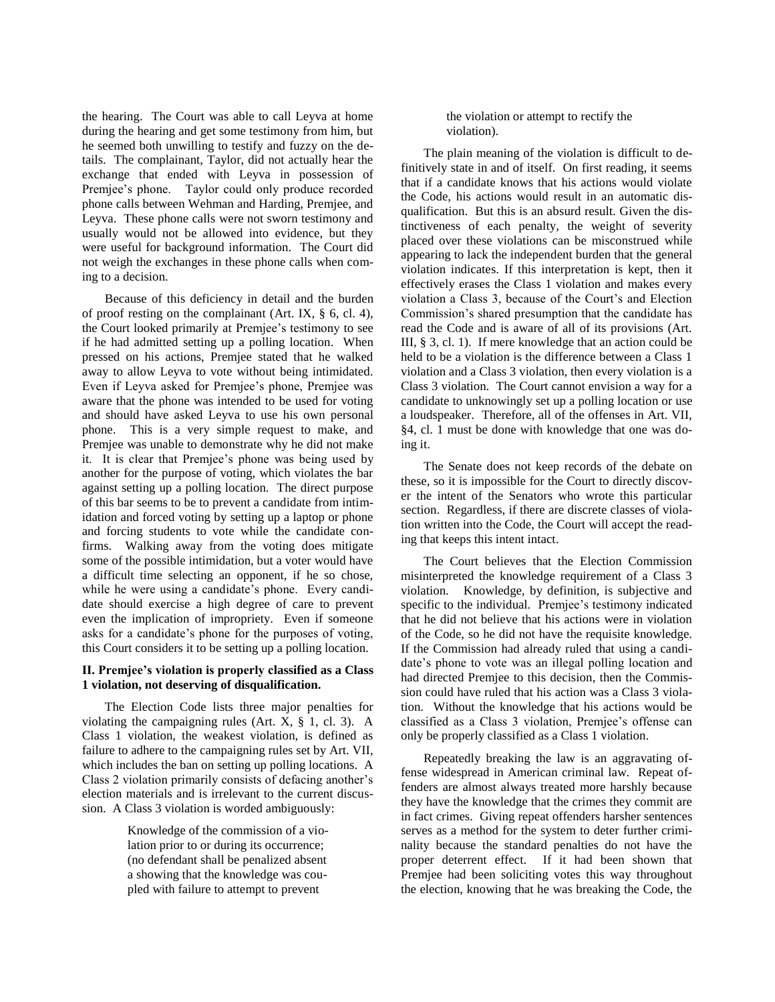the hearing. The Court was able to call Leyva at home during the hearing and get some testimony from him, but he seemed both unwilling to testify and fuzzy on the details. The complainant, Taylor, did not actually hear the exchange that ended with Leyva in possession of Premjee's phone. Taylor could only produce recorded phone calls between Wehman and Harding, Premjee, and Leyva. These phone calls were not sworn testimony and usually would not be allowed into evidence, but they were useful for background information. The Court did not weigh the exchanges in these phone calls when coming to a decision.

Because of this deficiency in detail and the burden of proof resting on the complainant (Art. IX, § 6, cl. 4), the Court looked primarily at Premjee's testimony to see if he had admitted setting up a polling location. When pressed on his actions, Premjee stated that he walked away to allow Leyva to vote without being intimidated. Even if Leyva asked for Premjee's phone, Premjee was aware that the phone was intended to be used for voting and should have asked Leyva to use his own personal phone. This is a very simple request to make, and Premjee was unable to demonstrate why he did not make it. It is clear that Premjee's phone was being used by another for the purpose of voting, which violates the bar against setting up a polling location. The direct purpose of this bar seems to be to prevent a candidate from intimidation and forced voting by setting up a laptop or phone and forcing students to vote while the candidate confirms. Walking away from the voting does mitigate some of the possible intimidation, but a voter would have a difficult time selecting an opponent, if he so chose, while he were using a candidate's phone. Every candidate should exercise a high degree of care to prevent even the implication of impropriety. Even if someone asks for a candidate's phone for the purposes of voting, this Court considers it to be setting up a polling location.

### **II. Premjee's violation is properly classified as a Class 1 violation, not deserving of disqualification.**

The Election Code lists three major penalties for violating the campaigning rules (Art. X, § 1, cl. 3). A Class 1 violation, the weakest violation, is defined as failure to adhere to the campaigning rules set by Art. VII, which includes the ban on setting up polling locations. A Class 2 violation primarily consists of defacing another's election materials and is irrelevant to the current discussion. A Class 3 violation is worded ambiguously:

> Knowledge of the commission of a violation prior to or during its occurrence; (no defendant shall be penalized absent a showing that the knowledge was coupled with failure to attempt to prevent

### the violation or attempt to rectify the violation).

The plain meaning of the violation is difficult to definitively state in and of itself. On first reading, it seems that if a candidate knows that his actions would violate the Code, his actions would result in an automatic disqualification. But this is an absurd result. Given the distinctiveness of each penalty, the weight of severity placed over these violations can be misconstrued while appearing to lack the independent burden that the general violation indicates. If this interpretation is kept, then it effectively erases the Class 1 violation and makes every violation a Class 3, because of the Court's and Election Commission's shared presumption that the candidate has read the Code and is aware of all of its provisions (Art. III, § 3, cl. 1). If mere knowledge that an action could be held to be a violation is the difference between a Class 1 violation and a Class 3 violation, then every violation is a Class 3 violation. The Court cannot envision a way for a candidate to unknowingly set up a polling location or use a loudspeaker. Therefore, all of the offenses in Art. VII, §4, cl. 1 must be done with knowledge that one was doing it.

The Senate does not keep records of the debate on these, so it is impossible for the Court to directly discover the intent of the Senators who wrote this particular section. Regardless, if there are discrete classes of violation written into the Code, the Court will accept the reading that keeps this intent intact.

The Court believes that the Election Commission misinterpreted the knowledge requirement of a Class 3 violation. Knowledge, by definition, is subjective and specific to the individual. Premjee's testimony indicated that he did not believe that his actions were in violation of the Code, so he did not have the requisite knowledge. If the Commission had already ruled that using a candidate's phone to vote was an illegal polling location and had directed Premjee to this decision, then the Commission could have ruled that his action was a Class 3 violation. Without the knowledge that his actions would be classified as a Class 3 violation, Premjee's offense can only be properly classified as a Class 1 violation.

Repeatedly breaking the law is an aggravating offense widespread in American criminal law. Repeat offenders are almost always treated more harshly because they have the knowledge that the crimes they commit are in fact crimes. Giving repeat offenders harsher sentences serves as a method for the system to deter further criminality because the standard penalties do not have the proper deterrent effect. If it had been shown that Premjee had been soliciting votes this way throughout the election, knowing that he was breaking the Code, the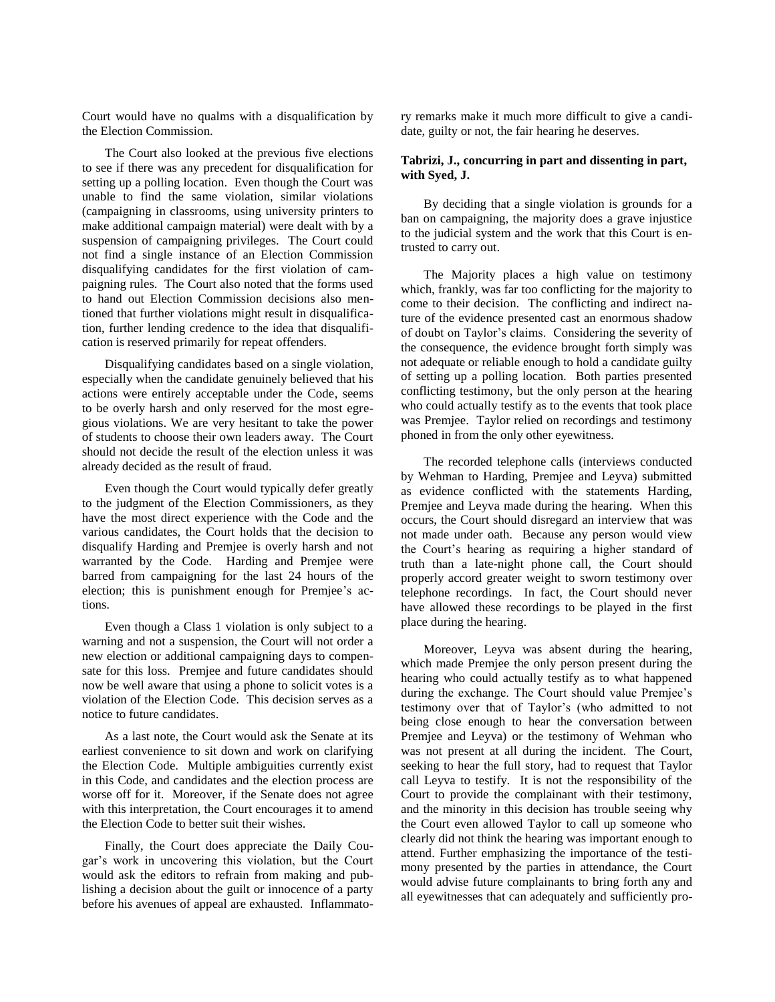Court would have no qualms with a disqualification by the Election Commission.

The Court also looked at the previous five elections to see if there was any precedent for disqualification for setting up a polling location. Even though the Court was unable to find the same violation, similar violations (campaigning in classrooms, using university printers to make additional campaign material) were dealt with by a suspension of campaigning privileges. The Court could not find a single instance of an Election Commission disqualifying candidates for the first violation of campaigning rules. The Court also noted that the forms used to hand out Election Commission decisions also mentioned that further violations might result in disqualification, further lending credence to the idea that disqualification is reserved primarily for repeat offenders.

Disqualifying candidates based on a single violation, especially when the candidate genuinely believed that his actions were entirely acceptable under the Code, seems to be overly harsh and only reserved for the most egregious violations. We are very hesitant to take the power of students to choose their own leaders away. The Court should not decide the result of the election unless it was already decided as the result of fraud.

Even though the Court would typically defer greatly to the judgment of the Election Commissioners, as they have the most direct experience with the Code and the various candidates, the Court holds that the decision to disqualify Harding and Premjee is overly harsh and not warranted by the Code. Harding and Premjee were barred from campaigning for the last 24 hours of the election; this is punishment enough for Premjee's actions.

Even though a Class 1 violation is only subject to a warning and not a suspension, the Court will not order a new election or additional campaigning days to compensate for this loss. Premjee and future candidates should now be well aware that using a phone to solicit votes is a violation of the Election Code. This decision serves as a notice to future candidates.

As a last note, the Court would ask the Senate at its earliest convenience to sit down and work on clarifying the Election Code. Multiple ambiguities currently exist in this Code, and candidates and the election process are worse off for it. Moreover, if the Senate does not agree with this interpretation, the Court encourages it to amend the Election Code to better suit their wishes.

Finally, the Court does appreciate the Daily Cougar's work in uncovering this violation, but the Court would ask the editors to refrain from making and publishing a decision about the guilt or innocence of a party before his avenues of appeal are exhausted. Inflammatory remarks make it much more difficult to give a candidate, guilty or not, the fair hearing he deserves.

# **Tabrizi, J., concurring in part and dissenting in part, with Syed, J.**

By deciding that a single violation is grounds for a ban on campaigning, the majority does a grave injustice to the judicial system and the work that this Court is entrusted to carry out.

The Majority places a high value on testimony which, frankly, was far too conflicting for the majority to come to their decision. The conflicting and indirect nature of the evidence presented cast an enormous shadow of doubt on Taylor's claims. Considering the severity of the consequence, the evidence brought forth simply was not adequate or reliable enough to hold a candidate guilty of setting up a polling location. Both parties presented conflicting testimony, but the only person at the hearing who could actually testify as to the events that took place was Premjee. Taylor relied on recordings and testimony phoned in from the only other eyewitness.

The recorded telephone calls (interviews conducted by Wehman to Harding, Premjee and Leyva) submitted as evidence conflicted with the statements Harding, Premjee and Leyva made during the hearing. When this occurs, the Court should disregard an interview that was not made under oath. Because any person would view the Court's hearing as requiring a higher standard of truth than a late-night phone call, the Court should properly accord greater weight to sworn testimony over telephone recordings. In fact, the Court should never have allowed these recordings to be played in the first place during the hearing.

Moreover, Leyva was absent during the hearing, which made Premjee the only person present during the hearing who could actually testify as to what happened during the exchange. The Court should value Premjee's testimony over that of Taylor's (who admitted to not being close enough to hear the conversation between Premjee and Leyva) or the testimony of Wehman who was not present at all during the incident. The Court, seeking to hear the full story, had to request that Taylor call Leyva to testify. It is not the responsibility of the Court to provide the complainant with their testimony, and the minority in this decision has trouble seeing why the Court even allowed Taylor to call up someone who clearly did not think the hearing was important enough to attend. Further emphasizing the importance of the testimony presented by the parties in attendance, the Court would advise future complainants to bring forth any and all eyewitnesses that can adequately and sufficiently pro-